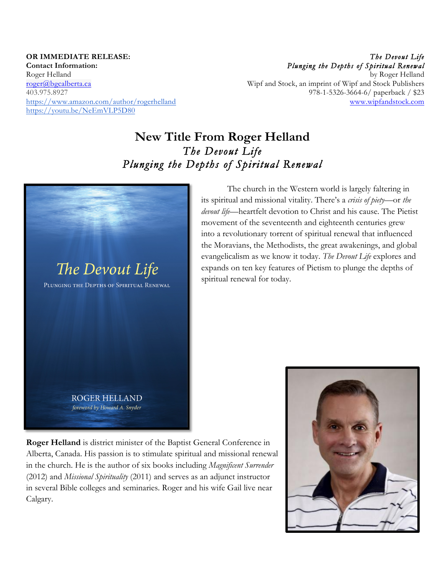**OR IMMEDIATE RELEASE: Contact Information:** Roger Helland roger@bgcalberta.ca 403.975.8927 https://www.amazon.com/author/rogerhelland https://youtu.be/NeEmVLP5D80

*The Devout Life Plunging the Depths of Spiritual Renewal*  by Roger Helland Wipf and Stock, an imprint of Wipf and Stock Publishers 978-1-5326-3664-6/ paperback / \$23 www.wipfandstock.com

# **New Title From Roger Helland** *The Devout Life Plunging the Depths of Spiritual Renewal*



its spiritual and missional vitality. There's a *crisis of piety*—or *the devout life*—heartfelt devotion to Christ and his cause. The Pietist movement of the seventeenth and eighteenth centuries grew into a revolutionary torrent of spiritual renewal that influenced the Moravians, the Methodists, the great awakenings, and global evangelicalism as we know it today. *The Devout Life* explores and expands on ten key features of Pietism to plunge the depths of spiritual renewal for today.

The church in the Western world is largely faltering in

**Roger Helland** is district minister of the Baptist General Conference in Alberta, Canada. His passion is to stimulate spiritual and missional renewal in the church. He is the author of six books including *Magnificent Surrender* (2012) and *Missional Spirituality* (2011) and serves as an adjunct instructor in several Bible colleges and seminaries. Roger and his wife Gail live near Calgary.

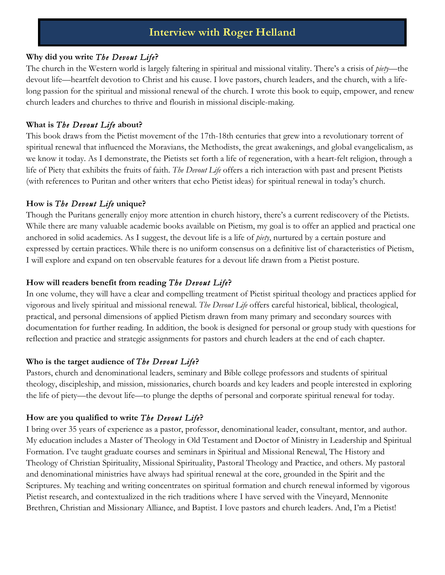## **Interview with Roger Helland**

### **Why did you write** *The Devout Life***?**

The church in the Western world is largely faltering in spiritual and missional vitality. There's a crisis of *piety*—the devout life—heartfelt devotion to Christ and his cause. I love pastors, church leaders, and the church, with a lifelong passion for the spiritual and missional renewal of the church. I wrote this book to equip, empower, and renew church leaders and churches to thrive and flourish in missional disciple-making.

### **What is** *The Devout Life* **about?**

This book draws from the Pietist movement of the 17th-18th centuries that grew into a revolutionary torrent of spiritual renewal that influenced the Moravians, the Methodists, the great awakenings, and global evangelicalism, as we know it today. As I demonstrate, the Pietists set forth a life of regeneration, with a heart-felt religion, through a life of Piety that exhibits the fruits of faith. *The Devout Life* offers a rich interaction with past and present Pietists (with references to Puritan and other writers that echo Pietist ideas) for spiritual renewal in today's church.

### **How is** *The Devout Life* **unique?**

Though the Puritans generally enjoy more attention in church history, there's a current rediscovery of the Pietists. While there are many valuable academic books available on Pietism, my goal is to offer an applied and practical one anchored in solid academics. As I suggest, the devout life is a life of *piety*, nurtured by a certain posture and expressed by certain practices. While there is no uniform consensus on a definitive list of characteristics of Pietism, I will explore and expand on ten observable features for a devout life drawn from a Pietist posture.

### **How will readers benefit from reading** *The Devout Life***?**

In one volume, they will have a clear and compelling treatment of Pietist spiritual theology and practices applied for vigorous and lively spiritual and missional renewal. *The Devout Life* offers careful historical, biblical, theological, practical, and personal dimensions of applied Pietism drawn from many primary and secondary sources with documentation for further reading. In addition, the book is designed for personal or group study with questions for reflection and practice and strategic assignments for pastors and church leaders at the end of each chapter.

#### **Who is the target audience of** *The Devout Life***?**

Pastors, church and denominational leaders, seminary and Bible college professors and students of spiritual theology, discipleship, and mission, missionaries, church boards and key leaders and people interested in exploring the life of piety—the devout life—to plunge the depths of personal and corporate spiritual renewal for today.

### **How are you qualified to write** *The Devout Life***?**

I bring over 35 years of experience as a pastor, professor, denominational leader, consultant, mentor, and author. My education includes a Master of Theology in Old Testament and Doctor of Ministry in Leadership and Spiritual Formation. I've taught graduate courses and seminars in Spiritual and Missional Renewal, The History and Theology of Christian Spirituality, Missional Spirituality, Pastoral Theology and Practice, and others. My pastoral and denominational ministries have always had spiritual renewal at the core, grounded in the Spirit and the Scriptures. My teaching and writing concentrates on spiritual formation and church renewal informed by vigorous Pietist research, and contextualized in the rich traditions where I have served with the Vineyard, Mennonite Brethren, Christian and Missionary Alliance, and Baptist. I love pastors and church leaders. And, I'm a Pietist!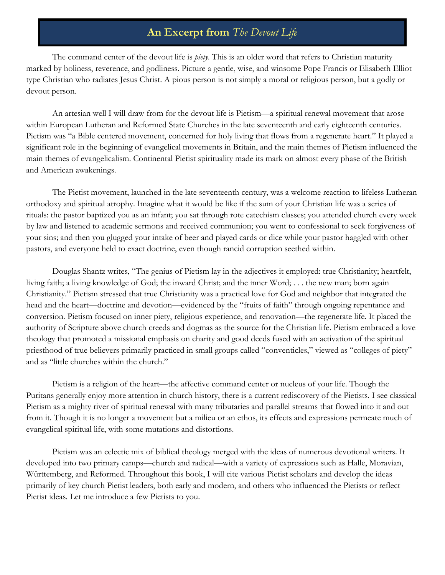### **An Excerpt from** *The Devout Life*

The command center of the devout life is *piety*. This is an older word that refers to Christian maturity marked by holiness, reverence, and godliness. Picture a gentle, wise, and winsome Pope Francis or Elisabeth Elliot type Christian who radiates Jesus Christ. A pious person is not simply a moral or religious person, but a godly or devout person.

An artesian well I will draw from for the devout life is Pietism—a spiritual renewal movement that arose within European Lutheran and Reformed State Churches in the late seventeenth and early eighteenth centuries. Pietism was "a Bible centered movement, concerned for holy living that flows from a regenerate heart." It played a significant role in the beginning of evangelical movements in Britain, and the main themes of Pietism influenced the main themes of evangelicalism. Continental Pietist spirituality made its mark on almost every phase of the British and American awakenings.

The Pietist movement, launched in the late seventeenth century, was a welcome reaction to lifeless Lutheran orthodoxy and spiritual atrophy. Imagine what it would be like if the sum of your Christian life was a series of rituals: the pastor baptized you as an infant; you sat through rote catechism classes; you attended church every week by law and listened to academic sermons and received communion; you went to confessional to seek forgiveness of your sins; and then you glugged your intake of beer and played cards or dice while your pastor haggled with other pastors, and everyone held to exact doctrine, even though rancid corruption seethed within.

Douglas Shantz writes, "The genius of Pietism lay in the adjectives it employed: true Christianity; heartfelt, living faith; a living knowledge of God; the inward Christ; and the inner Word; . . . the new man; born again Christianity." Pietism stressed that true Christianity was a practical love for God and neighbor that integrated the head and the heart—doctrine and devotion—evidenced by the "fruits of faith" through ongoing repentance and conversion. Pietism focused on inner piety, religious experience, and renovation—the regenerate life. It placed the authority of Scripture above church creeds and dogmas as the source for the Christian life. Pietism embraced a love theology that promoted a missional emphasis on charity and good deeds fused with an activation of the spiritual priesthood of true believers primarily practiced in small groups called "conventicles," viewed as "colleges of piety" and as "little churches within the church."

Pietism is a religion of the heart—the affective command center or nucleus of your life. Though the Puritans generally enjoy more attention in church history, there is a current rediscovery of the Pietists. I see classical Pietism as a mighty river of spiritual renewal with many tributaries and parallel streams that flowed into it and out from it. Though it is no longer a movement but a milieu or an ethos, its effects and expressions permeate much of evangelical spiritual life, with some mutations and distortions.

Pietism was an eclectic mix of biblical theology merged with the ideas of numerous devotional writers. It developed into two primary camps—church and radical—with a variety of expressions such as Halle, Moravian, Württemberg, and Reformed. Throughout this book, I will cite various Pietist scholars and develop the ideas primarily of key church Pietist leaders, both early and modern, and others who influenced the Pietists or reflect Pietist ideas. Let me introduce a few Pietists to you.